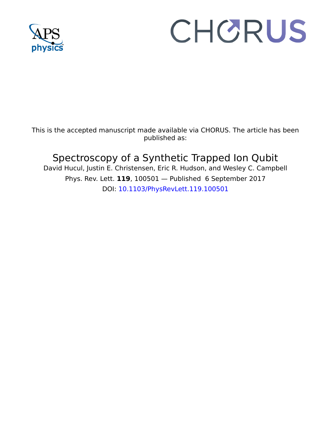

## CHORUS

This is the accepted manuscript made available via CHORUS. The article has been published as:

## Spectroscopy of a Synthetic Trapped Ion Qubit

David Hucul, Justin E. Christensen, Eric R. Hudson, and Wesley C. Campbell Phys. Rev. Lett. **119**, 100501 — Published 6 September 2017 DOI: [10.1103/PhysRevLett.119.100501](http://dx.doi.org/10.1103/PhysRevLett.119.100501)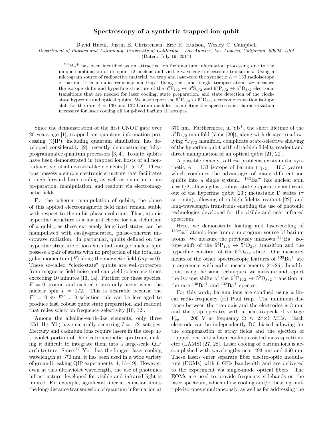## Spectroscopy of a synthetic trapped ion qubit

David Hucul, Justin E. Christensen, Eric R. Hudson, Wesley C. Campbell

Department of Physics and Astronomy, University of California – Los Angeles, Los Angeles, California, 90095, USA

(Dated: July 19, 2017)

 $133\text{Ba}^+$  has been identified as an attractive ion for quantum information processing due to the unique combination of its  $\sin^{-1/2}$  nucleus and visible wavelength electronic transitions. Using a microgram source of radioactive material, we trap and laser-cool the synthetic  $A = 133$  radioisotope of barium II in a radio-frequency ion trap. Using the same, single trapped atom, we measure the isotope shifts and hyperfine structure of the  $6^2P_{1/2} \leftrightarrow 6^2S_{1/2}$  and  $6^2P_{1/2} \leftrightarrow 5^2D_{3/2}$  electronic transitions that are needed for laser cooling, state preparation, and state detection of the clockstate hyperfine and optical qubits. We also report the  $6^{2}P_{1/2} \leftrightarrow 5^{2}D_{3/2}$  electronic transition isotope shift for the rare  $A = 130$  and 132 barium nuclides, completing the spectroscopic characterization necessary for laser cooling all long-lived barium II isotopes.

Since the demonstration of the first CNOT gate over 20 years ago [1], trapped ion quantum information processing (QIP), including quantum simulation, has developed considerably [2], recently demonstrating fullyprogrammable quantum processors [3, 4]. To date, qubits have been demonstrated in trapped ion hosts of all nonradioactive, alkaline-earth-like elements [1, 5–12]. These ions possess a simple electronic structure that facilitates straightforward laser cooling as well as quantum state preparation, manipulation, and readout via electromagnetic fields.

For the coherent manipulation of qubits, the phase of this applied electromagnetic field must remain stable with respect to the qubit phase evolution. Thus, atomic hyperfine structure is a natural choice for the definition of a qubit, as these extremely long-lived states can be manipulated with easily-generated, phase-coherent microwave radiation. In particular, qubits defined on the hyperfine structure of ions with half-integer nuclear spin possess a pair of states with no projection of the total angular momentum  $(F)$  along the magnetic field  $(m_F = 0)$ . These so-called "clock-state" qubits are well-protected from magnetic field noise and can yield coherence times exceeding 10 minutes [13, 14]. Further, for these species,  $F = 0$  ground and excited states only occur when the nuclear spin  $I = 1/2$ . This is desirable because the  $F' = 0 \nleftrightarrow F'' = 0$  selection rule can be leveraged to produce fast, robust qubit state preparation and readout that relies solely on frequency selectivity [10, 12].

Among the alkaline-earth-like elements, only three (Cd, Hg, Yb) have naturally occurring  $I = 1/2$  isotopes. Mercury and cadmium ions require lasers in the deep ultraviolet portion of the electromagnetic spectrum, making it difficult to integrate them into a large-scale QIP architecture. Since  $171Yb<sup>+</sup>$  has the longest laser-cooling wavelength at 370 nm, it has been used in a wide variety of groundbreaking QIP experiments [4, 15–19]. However, even at this ultraviolet wavelength, the use of photonics infrastructure developed for visible and infrared light is limited. For example, significant fiber attenuation limits the long-distance transmission of quantum information at 370 nm. Furthermore, in  $Yb^+$ , the short lifetime of the  $5^{2}D_{5/2}$  manifold (7 ms [20]), along with decays to a lowlying  ${}^{2}F_{7/2}$  manifold, complicate state-selective shelving of the hyperfine qubit with ultra-high fidelity readout and direct manipulation of an optical qubit [21, 22].

A possible remedy to these problems exists in the synthetic  $A = 133$  isotope of barium  $(\tau_{1/2} = 10.5$  years), which combines the advantages of many different ion qubits into a single system.  $133Ba<sup>+</sup>$  has nuclear spin  $I = 1/2$ , allowing fast, robust state preparation and readout of the hyperfine qubit [23]; metastable D states ( $\tau$  $\approx 1$  min), allowing ultra-high fidelity readout [22]; and long-wavelength transitions enabling the use of photonic technologies developed for the visible and near infrared spectrum.

Here, we demonstrate loading and laser-cooling of  $133Ba<sup>+</sup>$  atomic ions from a microgram source of barium atoms. We measure the previously unknown  $133Ba<sup>+</sup>$  isotope shift of the  $6^2P_{1/2} \leftrightarrow 5^2D_{3/2}$  transition and the hyperfine constant of the  $5^{2}D_{3/2}$  state. Our measurements of the other spectroscopic features of  $133Ba<sup>+</sup>$  are in agreement with earlier measurements [24–26]. In addition, using the same techniques, we measure and report the isotope shifts of the  $6^{2}P_{1/2} \leftrightarrow 5^{2}D_{3/2}$  transition in the rare  $130Ba<sup>+</sup>$  and  $132Ba<sup>+</sup>$  species.

For this work, barium ions are confined using a linear radio frequency (rf) Paul trap. The minimum distance between the trap axis and the electrodes is 3 mm and the trap operates with a peak-to-peak rf voltage  $V_{pp}$  = 200 V at frequency  $\Omega \approx 2\pi \times 1$  MHz. Each electrode can be independently DC biased allowing for the compensation of stray fields and the ejection of trapped ions into a laser-cooling-assisted mass spectrometer (LAMS) [27, 28]. Laser cooling of barium ions is accomplished with wavelengths near 493 nm and 650 nm. These lasers enter separate fiber electro-optic modulators (EOMs) with 6 GHz bandwidth and are delivered to the experiment via single-mode optical fibers. The EOMs are used to provide frequency sidebands on the laser spectrum, which allow cooling and/or heating multiple isotopes simultaneously, as well as for addressing the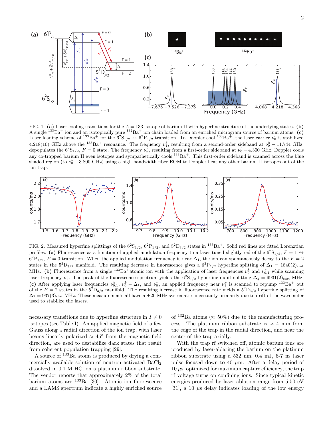2



FIG. 1. (a) Laser cooling transitions for the  $A = 133$  isotope of barium II with hyperfine structure of the underlying states. (b) A single  $133Ba^+$  ion and an isotopically pure  $132Ba^+$  ion chain loaded from an enriched microgram source of barium atoms. (c) Laser loading scheme of  $^{133}Ba^+$  for the  $6^2S_{1/2} \leftrightarrow 6^2P_{1/2}$  transition. To Doppler cool  $^{133}Ba^+$ , the laser carrier  $\nu_0^b$  is stabilized 4.218(10) GHz above the <sup>138</sup>Ba<sup>+</sup> resonance. The frequency  $\nu_1^b$ , resulting from a second-order sideband at  $\nu_0^b - 11.744 \text{ GHz}$ , depopulates the  $6^2S_{1/2}$ ,  $F = 0$  state. The frequency  $\nu_h^b$ , resulting from a first-order sideband at  $\nu_0^b - 4.300$  GHz, Doppler cools any co-trapped barium II even isotopes and sympathetically cools  $133Ba<sup>+</sup>$ . This first-order sideband is scanned across the blue shaded region (to  $\nu_0^b - 3.800 \text{ GHz}$ ) using a high bandwidth fiber EOM to Doppler heat any other barium II isotopes out of the ion trap.



FIG. 2. Measured hyperfine splittings of the  $6^{2}S_{1/2}$ ,  $6^{2}P_{1/2}$ , and  $5^{2}D_{3/2}$  states in  $^{133}Ba^{+}$ . Solid red lines are fitted Lorenztian profiles. (a) Fluorescence as a function of applied modulation frequency to a laser tuned slightly red of the  $6^{2}S_{1/2}$ ,  $F = 1 \leftrightarrow$  $6^{2}P_{1/2}$ ,  $F = 0$  transition. When the applied modulation frequency is near  $\Delta_1$ , the ion can spontaneously decay to the  $F = 2$ states in the  $5^{2}D_{3/2}$  manifold. The resulting decrease in fluorescence gives a  $6^{2}P_{1/2}$  hyperfine splitting of  $\Delta_{1} = 1840(2)_{stat}$ MHz. (b) Fluorescence from a single  $^{133}Ba^+$ atomic ion with the application of laser frequencies  $\nu_0^b$  and  $\nu_{0,1}^r$  while scanning laser frequency  $\nu_1^b$ . The peak of the fluorescence spectrum yields the  $6^2S_{1/2}$  hyperfine qubit splitting  $\Delta_q = 9931(2)_{\text{stat}}$  MHz. (c) After applying laser frequencies  $\nu_{0,1}^b$ ,  $\nu_0^b - \Delta_1$ , and  $\nu_0^r$ , an applied frequency near  $\nu_1^r$  is scanned to repump  $^{133}Ba^+$  out of the  $F = 2$  states in the  $5^2D_{3/2}$  manifold. The resulting increase in fluorescence rate yields a  $5^2D_{3/2}$  hyperfine splitting of  $\Delta_2 = 937(3)_{\text{stat}}$  MHz. These measurements all have a  $\pm 20$  MHz systematic uncertainty primarily due to drift of the wavemeter used to stabilize the lasers.

necessary transitions due to hyperfine structure in  $I \neq 0$ isotopes (see Table I). An applied magnetic field of a few Gauss along a radial direction of the ion trap, with laser beams linearly polarized  $\approx 45^{\circ}$  from the magnetic field direction, are used to destabilize dark states that result from coherent population trapping [29].

A source of <sup>133</sup>Ba atoms is produced by drying a commercially available solution of neutron activated  $BaCl<sub>2</sub>$ dissolved in 0.1 M HCl on a platinum ribbon substrate. The vendor reports that approximately 2% of the total barium atoms are <sup>133</sup>Ba [30]. Atomic ion fluorescence and a LAMS spectrum indicate a highly enriched source

of  $132Ba$  atoms ( $\approx 50\%$ ) due to the manufacturing process. The platinum ribbon substrate is  $\approx 4$  mm from the edge of the trap in the radial direction, and near the center of the trap axially.

With the trap rf switched off, atomic barium ions are produced by laser-ablating the barium on the platinum ribbon substrate using a 532 nm, 0.4 mJ, 5-7 ns laser pulse focused down to 40  $\mu$ m. After a delay period of  $10 \mu s$ , optimized for maximum capture efficiency, the trap rf voltage turns on confining ions. Since typical kinetic energies produced by laser ablation range from 5-50 eV [31], a 10  $\mu$ s delay indicates loading of the low energy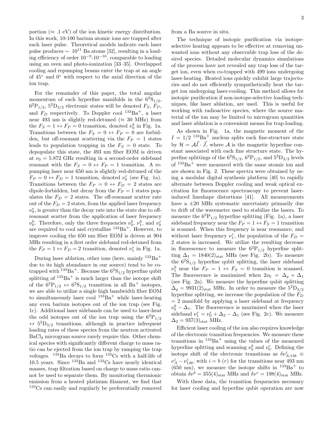portion ( $\approx$  .1 eV) of the ion kinetic energy distribution. In this work, 10-100 barium atomic ions are trapped after each laser pulse. Theoretical models indicate each laser pulse produces  $\sim 10^{11}$  Ba atoms [32], resulting in a loading efficiency of order  $10^{-9}$ - $10^{-10}$ , comparable to loading using an oven and photo-ionization [33–35]. Overlapped cooling and repumping beams enter the trap at an angle of 45◦ and 0◦ with respect to the axial direction of the ion trap.

For the remainder of this paper, the total angular momentum of each hyperfine manifolds in the  $6^{2}S_{1/2}$ ,  $6^{2}P_{1/2}$ ,  $5^{2}D_{3/2}$  electronic states will be denoted  $F_{S}$ ,  $F_{P}$ , and  $F_D$  respectively. To Doppler cool  $^{133}Ba^+$ , a laser near 493 nm is slightly red-detuned ( $\approx 30$  MHz) from the  $F_S = 1 \leftrightarrow F_P = 0$  transition, denoted  $\nu_0^b$  in Fig. 1a. Transitions between the  $F_S = 0 \leftrightarrow F_P = 0$  are forbidden, but off-resonant scattering via the  $F_P = 1$  states leads to population trapping in the  $F<sub>S</sub> = 0$  state. To depopulate this state, the 493 nm fiber EOM is driven at  $\nu_0 = 5.872$  GHz resulting in a second-order sideband resonant with the  $F_S = 0 \leftrightarrow F_P = 1$  transition. A repumping laser near 650 nm is slightly red-detuned of the  $F_P = 0 \leftrightarrow F_D = 1$  transition, denoted  $\nu_0^r$  (see Fig. 1a). Transitions between the  $F_P = 0 \leftrightarrow F_D = 2$  states are dipole-forbidden, but decay from the  $F_P = 1$  states populates the  $F_D = 2$  states. The off-resonant scatter rate out of the  $F_D = 2$  states, from the applied laser frequency  $\nu_0^r$ , is greater than the decay rate into the state due to offresonant scatter from the application of laser frequency  $\nu_0^b$ . Therefore, only the three frequencies  $\nu_0^b$ ,  $\nu_1^b$ , and  $\nu_0^r$ are required to cool and crystallize  $133Ba<sup>+</sup>$ . However, to improve cooling the 650 nm fiber EOM is driven at 904 MHz resulting in a first order sideband red-detuned from the  $F_P = 1 \leftrightarrow F_D = 2$  transition, denoted  $\nu_I^r$  in Fig. 1a.

During laser ablation, other ions (here, mainly  $132Ba^+$ due to its high abundance in our source) tend to be cotrapped with  $133Ba^+$ . Because the  $6^2S_{1/2}$  hyperfine qubit splitting of  $133Ba<sup>+</sup>$  is much larger than the isotope shift of the  $6^2P_{1/2} \leftrightarrow 6^2S_{1/2}$  transition in all Ba<sup>+</sup> isotopes, we are able to utilize a single high bandwidth fiber EOM to simultaneously laser cool  $133Ba^+$  while laser-heating any even barium isotopes out of the ion trap (see Fig. 1c). Additional laser sidebands can be used to laser-heat the odd isotopes out of the ion trap using the  $6^{2}P_{1/2}$  $\leftrightarrow$  5<sup>2</sup>D<sub>3/2</sub> transitions, although in practice infrequent loading rates of these species from the neutron activated BaCl<sup>2</sup> microgram source rarely require this. Other chemical species with significantly different charge to mass ratio can be ejected from the ion trap by ramping the trap voltages.  $133Ba$  decays to form  $133Cs$  with a half-life of 10.5 years. Since  $^{133}$ Ba and  $^{133}$ Cs have nearly identical masses, trap filtration based on charge to mass ratio cannot be used to separate them. By monitoring thermionic emission from a heated platinum filament, we find that <sup>133</sup>Cs can easily and regularly be preferentially removed from a Ba source in situ.

The technique of isotopic purification via isotopeselective heating appears to be effective at removing unwanted ions without any observable trap loss of the desired species. Detailed molecular dynamics simulations of the process have not revealed any trap loss of the target ion, even when co-trapped with 499 ions undergoing laser-heating. Heated ions quickly exhibit large trajectories and do not efficiently sympathetically heat the target ion undergoing laser-cooling. This method allows for isotopic purification if non-isotope-selective loading techniques, like laser ablation, are used. This is useful for working with radioactive species, where the source material of the ion may be limited to microgram quantities and laser ablation is a convenient means for trap loading.

As shown in Fig. 1a, the magnetic moment of the  $I = 1/2$   $133\text{Ba}^+$  nucleus splits each fine-structure state by  $\mathcal{H} = A\vec{I} \cdot \vec{J}$ , where A is the magnetic hyperfine constant associated with each fine structure state. The hyperfine splittings of the  $6^2S_{1/2}$ ,  $6^2P_{1/2}$ , and  $5^2D_{3/2}$  levels of  $133Ba<sup>+</sup>$  were measured with the same atomic ion and are shown in Fig. 2. These spectra were obtained by using a modular digital synthesis platform [40] to rapidly alternate between Doppler cooling and weak optical excitation for fluorescence spectroscopy to prevent laserinduced lineshape distortions [41]. All measurements have a  $\pm 20$  MHz systematic uncertainty primarily due to drift of the wavemeter used to stabilize the lasers. To measure the  $6^{2}P_{1/2}$  hyperfine splitting (Fig. 1a), a laser sideband frequency near the  $F_P = 1 \leftrightarrow F_S = 1$  transition is scanned. When this frequency is near resonance, and without laser frequency  $\nu_1^r$ , the population of the  $F_D =$ 2 states is increased. We utilize the resulting decrease in fluorescence to measure the  $6^{2}P_{1/2}$  hyperfine splitting  $\Delta_1 = 1840(2)_{\text{stat}}$  MHz (see Fig. 2b). To measure the  $6^{2}S_{1/2}$  hyperfine qubit splitting, the laser sideband  $\nu_1^b$  near the  $F_P = 1 \leftrightarrow F_S = 0$  transition is scanned. The fluorescence is maximized when  $2\nu_0 = \Delta_q + \Delta_1$ (see Fig. 2a). We measure the hyperfine qubit splitting  $\Delta_q = 9931(2)_{\text{stat}}$  MHz. In order to measure the  $5^{2}D_{3/2}$ hyperfine splitting, we increase the population of the  $F_D$  $= 2$  manifold by applying a laser sideband at frequency  $\nu_0^b - \Delta_1$ . The fluorescence is maximized when the laser sideband  $\nu_1^r = \nu_0^r + \Delta_2 - \Delta_1$  (see Fig. 2c). We measure  $\Delta_2 = 937(3)_{\text{stat}}$  MHz.

Efficient laser cooling of the ion also requires knowledge of the electronic transition frequencies. We measure these transitions in  $133Ba<sup>+</sup>$  using the values of the measured hyperfine splitting and scanning  $\nu_0^b$  and  $\nu_0^r$ . Defining the isotope shift of the electronic transitions as  $\delta \nu^i_{A,138}$  =  $\nu_A^i - \nu_{138}^i$ , with  $i = b(r)$  for the transitions near 493 nm  $(650 \text{ nm})$ , we measure the isotope shifts in  $133\text{Ba}^+$  to obtain  $\delta \nu^b = 355(4)_{\text{stat}}$  MHz and  $\delta \nu^r = 198(4)_{\text{stat}}$  MHz.

With these data, the transition frequencies necessary for laser cooling and hyperfine qubit operation are now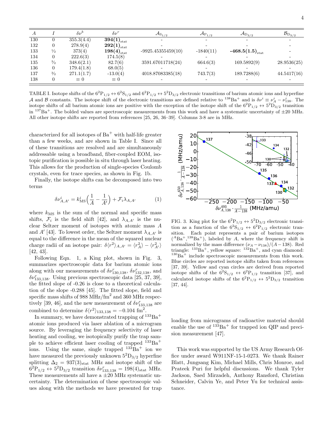| I |  |  |
|---|--|--|
|   |  |  |
|   |  |  |

| $\boldsymbol{A}$ |                | $\delta \nu^b$ | $\delta \nu^r$      | $\mathcal{A}_{S_{1/2}}$ | ${\cal A}_{{\rm P}_{1/2}}$ | $\mathcal{A}_{\mathrm{D}_{3/2}}$        | $\mathcal{B}_{\mathrm{D}_{3/2}}$ |
|------------------|----------------|----------------|---------------------|-------------------------|----------------------------|-----------------------------------------|----------------------------------|
| 130              | 0              | 355.3(4.4)     | $394(1)_{\rm stat}$ |                         | $\overline{\phantom{0}}$   | -                                       |                                  |
| 132              | $\overline{0}$ | 278.9(4)       | $292(1)_{\rm stat}$ |                         |                            |                                         |                                  |
| 133              | $\frac{1}{2}$  | 373(4)         | $198(4)_{\rm stat}$ | $-9925.45355459(10)$    | $-1840(11)$                | -468.5 $\left(1.5\right)_\mathrm{stat}$ |                                  |
| 134              | $\overline{0}$ | 222.6(3)       | 174.5(8)            |                         |                            |                                         |                                  |
| 135              | $^{3/2}$       | 348.6(2.1)     | 82.7(6)             | 3591.67011718(24)       | 664.6(3)                   | 169.5892(9)                             | 28.9536(25)                      |
| 136              | $\theta$       | 179.4(1.8)     | 68.0(5)             |                         |                            |                                         |                                  |
| 137              | $^{3/2}$       | 271.1(1.7)     | $-13.0(4)$          | 4018.87083385(18)       | 743.7(3)                   | 189.7288(6)                             | 44.5417(16)                      |
| 138              | 0              | $\equiv 0$     | $\equiv 0$          |                         |                            | -                                       |                                  |

TABLE I. Isotope shifts of the  $6^2P_{1/2} \leftrightarrow 6^2S_{1/2}$  and  $6^2P_{1/2} \leftrightarrow 5^2D_{3/2}$  electronic transitions of barium atomic ions and hyperfine A and B constants. The isotope shift of the electronic transitions are defined relative to  $^{138}Ba^+$  and is  $\delta \nu^i \equiv \nu_A^i - \nu_{138}^i$ . The isotope shifts of all barium atomic ions are positive with the exception of the isotope shift of the  $6^{2}P_{1/2} \leftrightarrow 5^{2}D_{3/2}$  transition in  $^{137}Ba^+$ . The bolded values are spectroscopic measurements from this work and have a systematic uncertainty of  $\pm 20$  MHz. All other isotope shifts are reported from references [25, 26, 36–39]. Columns 3-8 are in MHz.

characterized for all isotopes of  $Ba<sup>+</sup>$  with half-life greater than a few weeks, and are shown in Table I. Since all of these transitions are resolved and are simultaneously addressable using a broadband, fiber-coupled EOM, isotopic purification is possible in situ through laser heating. This allows for the production of single-species Coulomb crystals, even for trace species, as shown in Fig. 1b.

Finally, the isotope shifts can be decomposed into two terms

$$
\delta\nu_{A,A'}^i = k_{\text{MS}}^i \Big(\frac{1}{A} - \frac{1}{A'}\Big) + \mathcal{F}_i \lambda_{A,A'} \tag{1}
$$

where  $k_{\text{MS}}$  is the sum of the normal and specific mass shifts,  $\mathcal{F}_i$  is the field shift [42], and  $\lambda_{A,A'}$  is the nuclear Seltzer moment of isotopes with atomic mass A and  $A'$  [43]. To lowest order, the Seltzer moment  $\lambda_{A,A'}$  is equal to the difference in the mean of the squared nuclear charge radii of an isotope pair:  $\delta \langle r^2 \rangle_{A,A'} = \langle r_A^2 \rangle - \langle r_{A'}^2 \rangle$ [42, 43].

Following Eqn. 1, a King plot, shown in Fig. 3, summarizes spectroscopic data for barium atomic ions along with our measurements of  $\delta \nu_{130,138}^r$ ,  $\delta \nu_{132,138}^r$ , and  $\delta\nu_{133,138}^r$ . Using previous spectroscopic data [25, 37, 39], the fitted slope of -0.26 is close to a theoretical calculation of the slope -0.288 [45]. The fitted slope, field and specific mass shifts of 988 MHz/ $\text{fm}^2$  and 360 MHz respectively [39, 46], and the new measurement of  $\delta \nu_{133,138}^r$  are combined to determine  $\delta \langle r^2 \rangle_{133,138} = -0.104$  fm<sup>2</sup>.

In summary, we have demonstrated trapping of  $133Ba<sup>+</sup>$ atomic ions produced via laser ablation of a microgram source. By leveraging the frequency selectivity of laser heating and cooling, we isotopically purify the trap sample to achieve efficient laser cooling of trapped  $133Ba<sup>+</sup>$ ions. Using the same, single trapped  $133Ba<sup>+</sup>$  ion we have measured the previously unknown  $5^{2}D_{3/2}$  hyperfine splitting  $\Delta_2 = 937(3)_{\text{stat}}$  MHz and isotope shift of the  $6^{2}P_{1/2} \leftrightarrow 5^{2}D_{3/2}$  transition  $\delta\nu_{133,138}^{r} = 198(4)_{\text{stat}}$  MHz. These measurements all have a  $\pm 20$  MHz systematic uncertainty. The determination of these spectroscopic values along with the methods we have presented for trap



FIG. 3. King plot for the  $6^2P_{1/2} \leftrightarrow 5^2D_{3/2}$  electronic transition as a function of the  $6^{2}S_{1/2} \leftrightarrow 6^{2}P_{1/2}$  electronic transition. Each point represents a pair of barium isotopes  $(^{A}Ba^{+},^{138}Ba^{+})$ , labeled by A, where the frequency shift is normalized by the mass difference  $(\nu_A - \nu_{138})/(A-138)$ . Red triangle:  $133\text{Ba}^+$ , yellow square:  $132\text{Ba}^+$ , and cyan diamond:  $130\text{Ba}^+$  include spectroscopic measurements from this work. Blue circles are reported isotope shifts taken from references [37, 39]. Yellow and cyan circles are derived from reported isotope shifts of the  $6^{2}S_{1/2} \leftrightarrow 6^{2}P_{1/2}$  transition [37], and calculated isotope shifts of the  $6^2P_{1/2} \leftrightarrow 5^2D_{3/2}$  transition [37, 44].

loading from micrograms of radioactive material should enable the use of  $133Ba<sup>+</sup>$  for trapped ion QIP and precision measurement [47].

This work was supported by the US Army Research Office under award W911NF-15-1-0273. We thank Rainer Blatt, Jungsang Kim, Michael Mills, Chris Monroe, and Prateek Puri for helpful discussions. We thank Tyler Jackson, Saed Mirzadeh, Anthony Ransford, Christian Schneider, Calvin Ye, and Peter Yu for technical assistance.